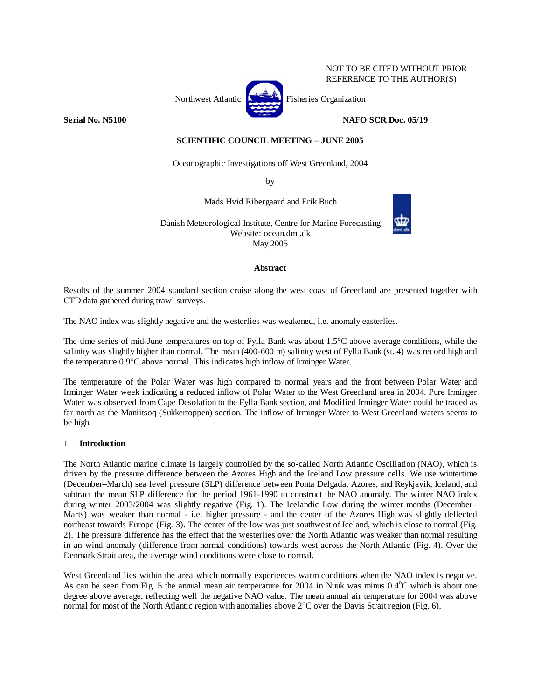## NOT TO BE CITED WITHOUT PRIOR REFERENCE TO THE AUTHOR(S)

Northwest Atlantic **Northusian** Fisheries Organization

**Serial No. N5100 NAFO SCR Doc. 05/19** 

**SCIENTIFIC COUNCIL MEETING – JUNE 2005** 

Oceanographic Investigations off West Greenland, 2004

by

Mads Hvid Ribergaard and Erik Buch

Danish Meteorological Institute, Centre for Marine Forecasting Website: ocean.dmi.dk May 2005

**Abstract** 

Results of the summer 2004 standard section cruise along the west coast of Greenland are presented together with CTD data gathered during trawl surveys.

The NAO index was slightly negative and the westerlies was weakened, i.e. anomaly easterlies.

The time series of mid-June temperatures on top of Fylla Bank was about 1.5°C above average conditions, while the salinity was slightly higher than normal. The mean (400-600 m) salinity west of Fylla Bank (st. 4) was record high and the temperature 0.9°C above normal. This indicates high inflow of Irminger Water.

The temperature of the Polar Water was high compared to normal years and the front between Polar Water and Irminger Water week indicating a reduced inflow of Polar Water to the West Greenland area in 2004. Pure Irminger Water was observed from Cape Desolation to the Fylla Bank section, and Modified Irminger Water could be traced as far north as the Maniitsoq (Sukkertoppen) section. The inflow of Irminger Water to West Greenland waters seems to be high.

# 1. **Introduction**

The North Atlantic marine climate is largely controlled by the so-called North Atlantic Oscillation (NAO), which is driven by the pressure difference between the Azores High and the Iceland Low pressure cells. We use wintertime (December–March) sea level pressure (SLP) difference between Ponta Delgada, Azores, and Reykjavik, Iceland, and subtract the mean SLP difference for the period 1961-1990 to construct the NAO anomaly. The winter NAO index during winter 2003/2004 was slightly negative (Fig. 1). The Icelandic Low during the winter months (December– Marts) was weaker than normal - i.e. higher pressure - and the center of the Azores High was slightly deflected northeast towards Europe (Fig. 3). The center of the low was just southwest of Iceland, which is close to normal (Fig. 2). The pressure difference has the effect that the westerlies over the North Atlantic was weaker than normal resulting in an wind anomaly (difference from normal conditions) towards west across the North Atlantic (Fig. 4). Over the Denmark Strait area, the average wind conditions were close to normal.

West Greenland lies within the area which normally experiences warm conditions when the NAO index is negative. As can be seen from Fig. 5 the annual mean air temperature for 2004 in Nuuk was minus  $0.4^{\circ}$ C which is about one degree above average, reflecting well the negative NAO value. The mean annual air temperature for 2004 was above normal for most of the North Atlantic region with anomalies above 2°C over the Davis Strait region (Fig. 6).



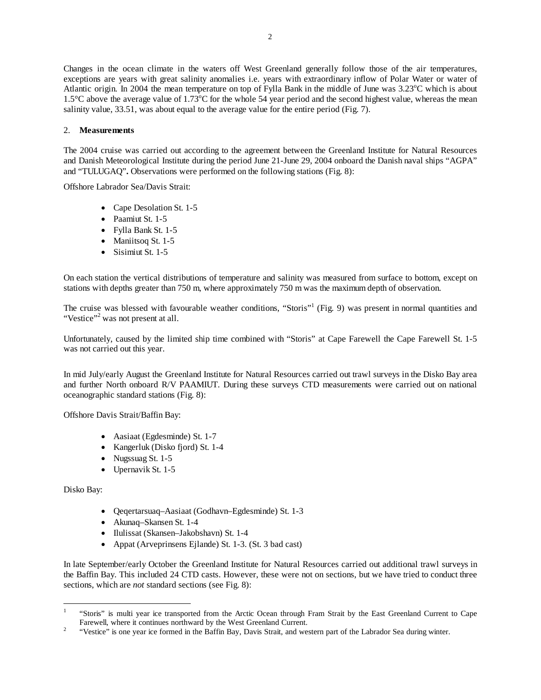Changes in the ocean climate in the waters off West Greenland generally follow those of the air temperatures, exceptions are years with great salinity anomalies i.e. years with extraordinary inflow of Polar Water or water of Atlantic origin. In 2004 the mean temperature on top of Fylla Bank in the middle of June was 3.23°C which is about 1.5°C above the average value of 1.73°C for the whole 54 year period and the second highest value, whereas the mean salinity value, 33.51, was about equal to the average value for the entire period (Fig. 7).

## 2. **Measurements**

The 2004 cruise was carried out according to the agreement between the Greenland Institute for Natural Resources and Danish Meteorological Institute during the period June 21-June 29, 2004 onboard the Danish naval ships "AGPA" and "TULUGAQ"**.** Observations were performed on the following stations (Fig. 8):

Offshore Labrador Sea/Davis Strait:

- Cape Desolation St. 1-5
- Paamiut St. 1-5
- Fylla Bank St. 1-5
- Maniitsoq St. 1-5
- Sisimiut St. 1-5

On each station the vertical distributions of temperature and salinity was measured from surface to bottom, except on stations with depths greater than 750 m, where approximately 750 m was the maximum depth of observation.

The cruise was blessed with favourable weather conditions, "Storis"<sup>1</sup> (Fig. 9) was present in normal quantities and "Vestice"<sup>2</sup> was not present at all.

Unfortunately, caused by the limited ship time combined with "Storis" at Cape Farewell the Cape Farewell St. 1-5 was not carried out this year.

In mid July/early August the Greenland Institute for Natural Resources carried out trawl surveys in the Disko Bay area and further North onboard R/V PAAMIUT. During these surveys CTD measurements were carried out on national oceanographic standard stations (Fig. 8):

Offshore Davis Strait/Baffin Bay:

- Aasiaat (Egdesminde) St. 1-7
- Kangerluk (Disko fjord) St. 1-4
- Nugssuag St. 1-5
- Upernavik St. 1-5

Disko Bay:

 $\overline{a}$ 

- Qeqertarsuaq–Aasiaat (Godhavn–Egdesminde) St. 1-3
- Akunaq–Skansen St. 1-4
- Ilulissat (Skansen–Jakobshavn) St. 1-4
- Appat (Arveprinsens Ejlande) St. 1-3. (St. 3 bad cast)

In late September/early October the Greenland Institute for Natural Resources carried out additional trawl surveys in the Baffin Bay. This included 24 CTD casts. However, these were not on sections, but we have tried to conduct three sections, which are *not* standard sections (see Fig. 8):

<sup>1</sup> "Storis" is multi year ice transported from the Arctic Ocean through Fram Strait by the East Greenland Current to Cape Farewell, where it continues northward by the West Greenland Current.<br><sup>2</sup> "Mastias" is an a vest is formed in the Beffin Bay. Davis Strait, and west

 <sup>&</sup>quot;Vestice" is one year ice formed in the Baffin Bay, Davis Strait, and western part of the Labrador Sea during winter.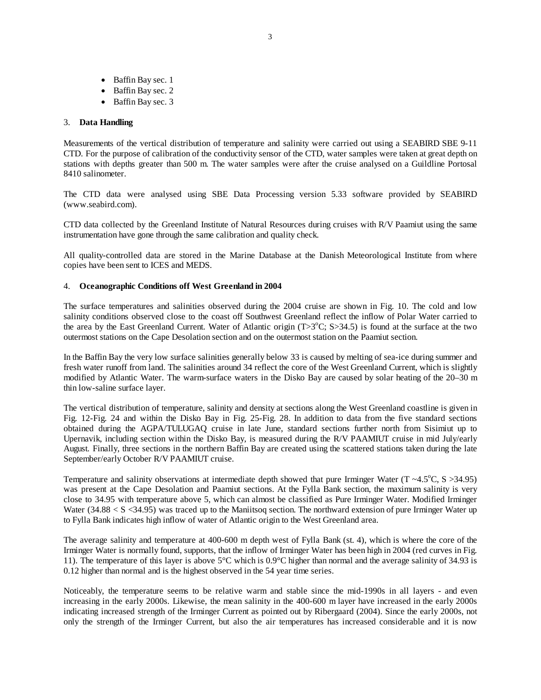- Baffin Bay sec. 1
- Baffin Bay sec. 2
- Baffin Bay sec. 3

## 3. **Data Handling**

Measurements of the vertical distribution of temperature and salinity were carried out using a SEABIRD SBE 9-11 CTD. For the purpose of calibration of the conductivity sensor of the CTD, water samples were taken at great depth on stations with depths greater than 500 m. The water samples were after the cruise analysed on a Guildline Portosal 8410 salinometer.

The CTD data were analysed using SBE Data Processing version 5.33 software provided by SEABIRD (www.seabird.com).

CTD data collected by the Greenland Institute of Natural Resources during cruises with R/V Paamiut using the same instrumentation have gone through the same calibration and quality check.

All quality-controlled data are stored in the Marine Database at the Danish Meteorological Institute from where copies have been sent to ICES and MEDS.

#### 4. **Oceanographic Conditions off West Greenland in 2004**

The surface temperatures and salinities observed during the 2004 cruise are shown in Fig. 10. The cold and low salinity conditions observed close to the coast off Southwest Greenland reflect the inflow of Polar Water carried to the area by the East Greenland Current. Water of Atlantic origin  $(T>3^{\circ}C; S>34.5)$  is found at the surface at the two outermost stations on the Cape Desolation section and on the outermost station on the Paamiut section.

In the Baffin Bay the very low surface salinities generally below 33 is caused by melting of sea-ice during summer and fresh water runoff from land. The salinities around 34 reflect the core of the West Greenland Current, which is slightly modified by Atlantic Water. The warm-surface waters in the Disko Bay are caused by solar heating of the 20–30 m thin low-saline surface layer.

The vertical distribution of temperature, salinity and density at sections along the West Greenland coastline is given in Fig. 12-Fig. 24 and within the Disko Bay in Fig. 25-Fig. 28. In addition to data from the five standard sections obtained during the AGPA/TULUGAQ cruise in late June, standard sections further north from Sisimiut up to Upernavik, including section within the Disko Bay, is measured during the R/V PAAMIUT cruise in mid July/early August. Finally, three sections in the northern Baffin Bay are created using the scattered stations taken during the late September/early October R/V PAAMIUT cruise.

Temperature and salinity observations at intermediate depth showed that pure Irminger Water  $(T \sim 4.5^{\circ}C, S > 34.95)$ was present at the Cape Desolation and Paamiut sections. At the Fylla Bank section, the maximum salinity is very close to 34.95 with temperature above 5, which can almost be classified as Pure Irminger Water. Modified Irminger Water (34.88  $\lt S \lt 34.95$ ) was traced up to the Maniitsoq section. The northward extension of pure Irminger Water up to Fylla Bank indicates high inflow of water of Atlantic origin to the West Greenland area.

The average salinity and temperature at 400-600 m depth west of Fylla Bank (st. 4), which is where the core of the Irminger Water is normally found, supports, that the inflow of Irminger Water has been high in 2004 (red curves in Fig. 11). The temperature of this layer is above 5°C which is 0.9°C higher than normal and the average salinity of 34.93 is 0.12 higher than normal and is the highest observed in the 54 year time series.

Noticeably, the temperature seems to be relative warm and stable since the mid-1990s in all layers - and even increasing in the early 2000s. Likewise, the mean salinity in the 400-600 m layer have increased in the early 2000s indicating increased strength of the Irminger Current as pointed out by Ribergaard (2004). Since the early 2000s, not only the strength of the Irminger Current, but also the air temperatures has increased considerable and it is now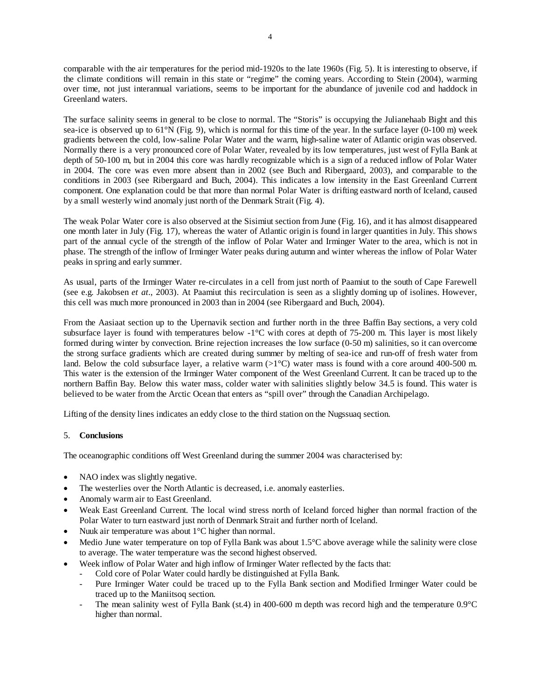comparable with the air temperatures for the period mid-1920s to the late 1960s (Fig. 5). It is interesting to observe, if the climate conditions will remain in this state or "regime" the coming years. According to Stein (2004), warming over time, not just interannual variations, seems to be important for the abundance of juvenile cod and haddock in Greenland waters.

The surface salinity seems in general to be close to normal. The "Storis" is occupying the Julianehaab Bight and this sea-ice is observed up to  $61^{\circ}N$  (Fig. 9), which is normal for this time of the year. In the surface layer (0-100 m) week gradients between the cold, low-saline Polar Water and the warm, high-saline water of Atlantic origin was observed. Normally there is a very pronounced core of Polar Water, revealed by its low temperatures, just west of Fylla Bank at depth of 50-100 m, but in 2004 this core was hardly recognizable which is a sign of a reduced inflow of Polar Water in 2004. The core was even more absent than in 2002 (see Buch and Ribergaard, 2003), and comparable to the conditions in 2003 (see Ribergaard and Buch, 2004). This indicates a low intensity in the East Greenland Current component. One explanation could be that more than normal Polar Water is drifting eastward north of Iceland, caused by a small westerly wind anomaly just north of the Denmark Strait (Fig. 4).

The weak Polar Water core is also observed at the Sisimiut section from June (Fig. 16), and it has almost disappeared one month later in July (Fig. 17), whereas the water of Atlantic origin is found in larger quantities in July. This shows part of the annual cycle of the strength of the inflow of Polar Water and Irminger Water to the area, which is not in phase. The strength of the inflow of Irminger Water peaks during autumn and winter whereas the inflow of Polar Water peaks in spring and early summer.

As usual, parts of the Irminger Water re-circulates in a cell from just north of Paamiut to the south of Cape Farewell (see e.g. Jakobsen *et at*., 2003). At Paamiut this recirculation is seen as a slightly doming up of isolines. However, this cell was much more pronounced in 2003 than in 2004 (see Ribergaard and Buch, 2004).

From the Aasiaat section up to the Upernavik section and further north in the three Baffin Bay sections, a very cold subsurface layer is found with temperatures below -1°C with cores at depth of 75-200 m. This layer is most likely formed during winter by convection. Brine rejection increases the low surface (0-50 m) salinities, so it can overcome the strong surface gradients which are created during summer by melting of sea-ice and run-off of fresh water from land. Below the cold subsurface layer, a relative warm  $(>1^{\circ}C)$  water mass is found with a core around 400-500 m. This water is the extension of the Irminger Water component of the West Greenland Current. It can be traced up to the northern Baffin Bay. Below this water mass, colder water with salinities slightly below 34.5 is found. This water is believed to be water from the Arctic Ocean that enters as "spill over" through the Canadian Archipelago.

Lifting of the density lines indicates an eddy close to the third station on the Nugssuaq section.

# 5. **Conclusions**

The oceanographic conditions off West Greenland during the summer 2004 was characterised by:

- NAO index was slightly negative.
- The westerlies over the North Atlantic is decreased, i.e. anomaly easterlies.
- Anomaly warm air to East Greenland.
- Weak East Greenland Current. The local wind stress north of Iceland forced higher than normal fraction of the Polar Water to turn eastward just north of Denmark Strait and further north of Iceland.
- Nuuk air temperature was about 1°C higher than normal.
- Medio June water temperature on top of Fylla Bank was about 1.5°C above average while the salinity were close to average. The water temperature was the second highest observed.
- Week inflow of Polar Water and high inflow of Irminger Water reflected by the facts that:
	- Cold core of Polar Water could hardly be distinguished at Fylla Bank.
	- Pure Irminger Water could be traced up to the Fylla Bank section and Modified Irminger Water could be traced up to the Maniitsoq section.
	- The mean salinity west of Fylla Bank (st.4) in 400-600 m depth was record high and the temperature 0.9°C higher than normal.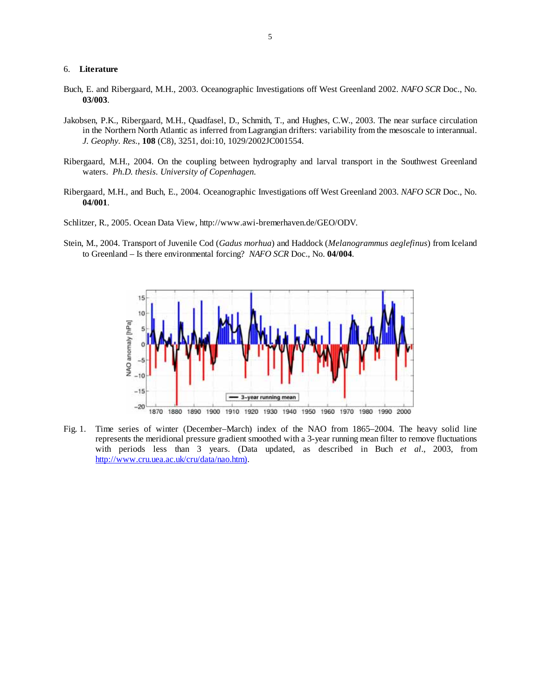#### 6. **Literature**

- Buch, E. and Ribergaard, M.H., 2003. Oceanographic Investigations off West Greenland 2002. *NAFO SCR* Doc., No. **03/003**.
- Jakobsen, P.K., Ribergaard, M.H., Quadfasel, D., Schmith, T., and Hughes, C.W., 2003. The near surface circulation in the Northern North Atlantic as inferred from Lagrangian drifters: variability from the mesoscale to interannual. *J. Geophy. Res.*, **108** (C8), 3251, doi:10, 1029/2002JC001554.
- Ribergaard, M.H., 2004. On the coupling between hydrography and larval transport in the Southwest Greenland waters. *Ph.D. thesis. University of Copenhagen.*
- Ribergaard, M.H., and Buch, E., 2004. Oceanographic Investigations off West Greenland 2003. *NAFO SCR* Doc., No. **04/001**.
- Schlitzer, R., 2005. Ocean Data View, http://www.awi-bremerhaven.de/GEO/ODV.
- Stein, M., 2004. Transport of Juvenile Cod (*Gadus morhua*) and Haddock (*Melanogrammus aeglefinus*) from Iceland to Greenland – Is there environmental forcing? *NAFO SCR* Doc., No. **04/004**.



Fig. 1. Time series of winter (December–March) index of the NAO from 1865–2004. The heavy solid line represents the meridional pressure gradient smoothed with a 3-year running mean filter to remove fluctuations with periods less than 3 years. (Data updated, as described in Buch *et al*., 2003, from http://www.cru.uea.ac.uk/cru/data/nao.htm).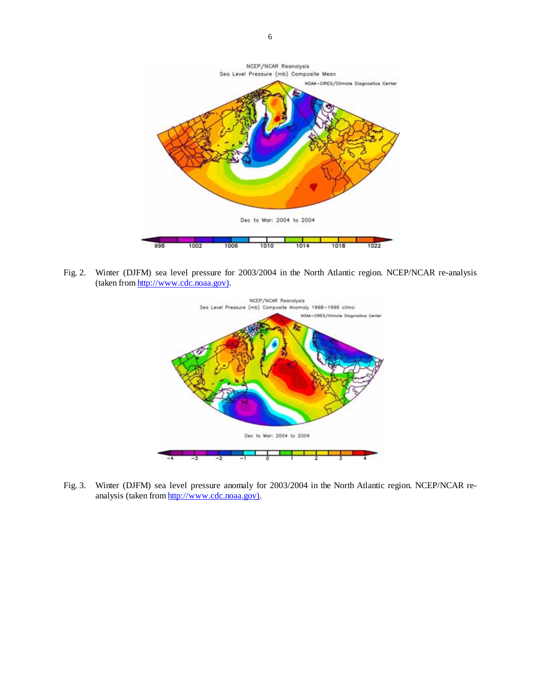

Fig. 2. Winter (DJFM) sea level pressure for 2003/2004 in the North Atlantic region. NCEP/NCAR re-analysis (taken from http://www.cdc.noaa.gov).



Fig. 3. Winter (DJFM) sea level pressure anomaly for 2003/2004 in the North Atlantic region. NCEP/NCAR reanalysis (taken from http://www.cdc.noaa.gov).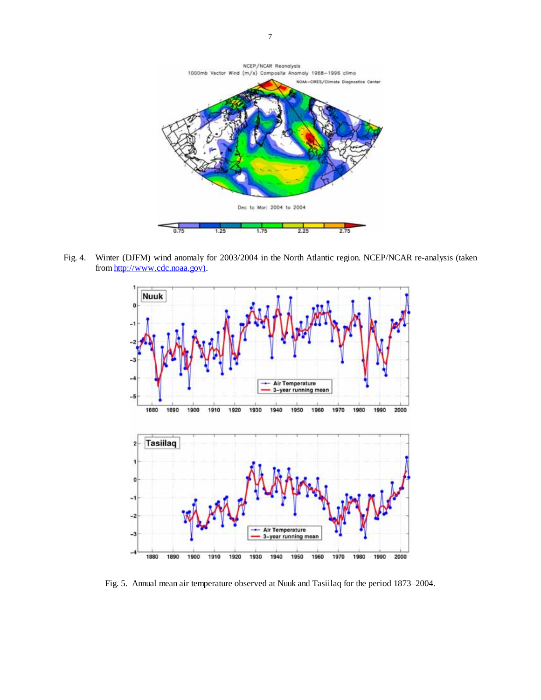

Fig. 4. Winter (DJFM) wind anomaly for 2003/2004 in the North Atlantic region. NCEP/NCAR re-analysis (taken from http://www.cdc.noaa.gov).



Fig. 5. Annual mean air temperature observed at Nuuk and Tasiilaq for the period 1873–2004.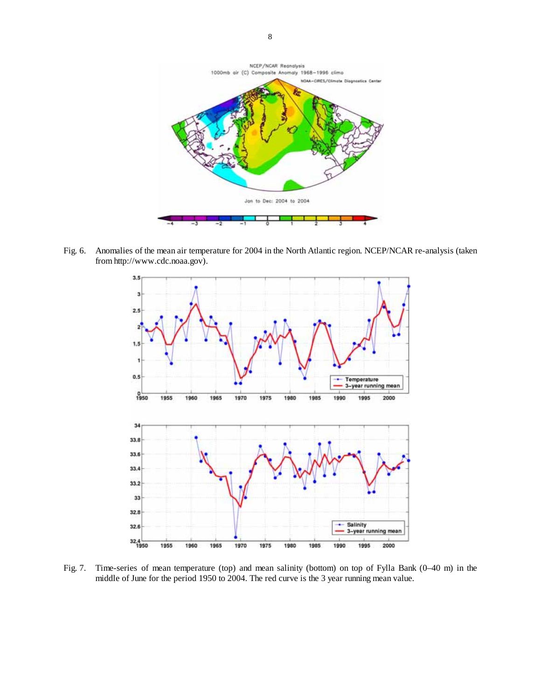

Fig. 6. Anomalies of the mean air temperature for 2004 in the North Atlantic region. NCEP/NCAR re-analysis (taken from http://www.cdc.noaa.gov).



Fig. 7. Time-series of mean temperature (top) and mean salinity (bottom) on top of Fylla Bank (0–40 m) in the middle of June for the period 1950 to 2004. The red curve is the 3 year running mean value.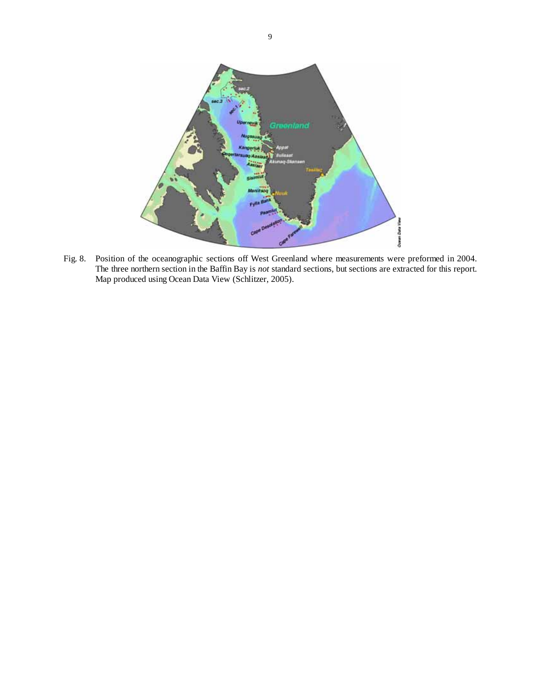

Fig. 8. Position of the oceanographic sections off West Greenland where measurements were preformed in 2004. The three northern section in the Baffin Bay is *not* standard sections, but sections are extracted for this report. Map produced using Ocean Data View (Schlitzer, 2005).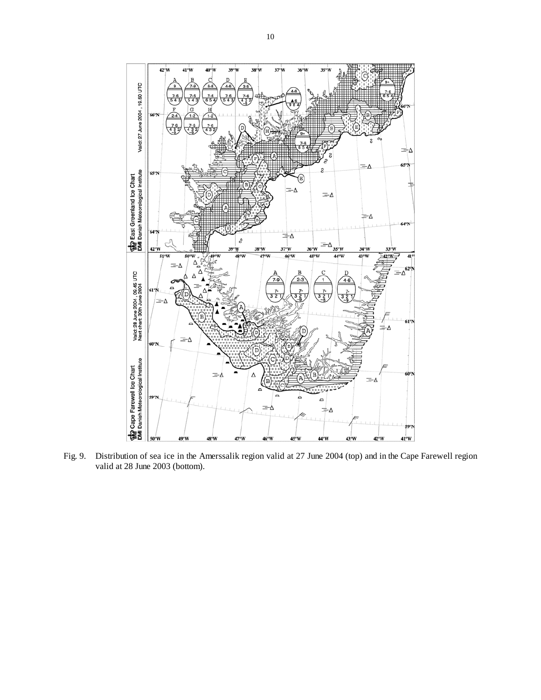

Fig. 9. Distribution of sea ice in the Amerssalik region valid at 27 June 2004 (top) and in the Cape Farewell region valid at 28 June 2003 (bottom).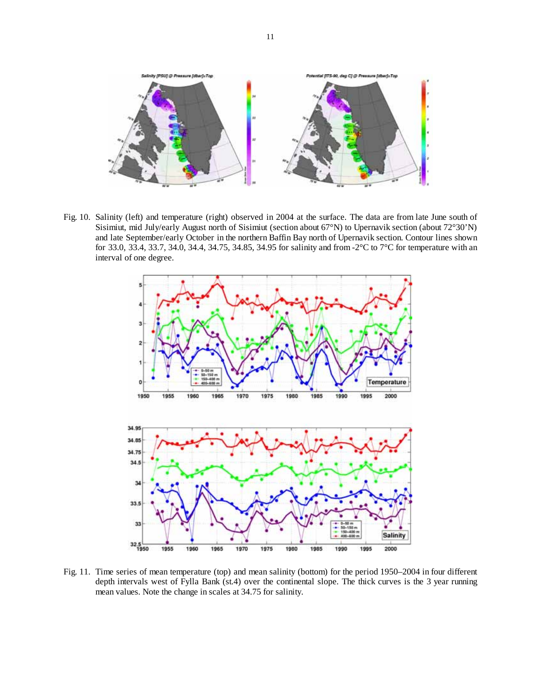

Fig. 10. Salinity (left) and temperature (right) observed in 2004 at the surface. The data are from late June south of Sisimiut, mid July/early August north of Sisimiut (section about 67°N) to Upernavik section (about 72°30'N) and late September/early October in the northern Baffin Bay north of Upernavik section. Contour lines shown for 33.0, 33.4, 33.7, 34.0, 34.4, 34.75, 34.85, 34.95 for salinity and from -2°C to 7°C for temperature with an interval of one degree.



Fig. 11. Time series of mean temperature (top) and mean salinity (bottom) for the period 1950–2004 in four different depth intervals west of Fylla Bank (st.4) over the continental slope. The thick curves is the 3 year running mean values. Note the change in scales at 34.75 for salinity.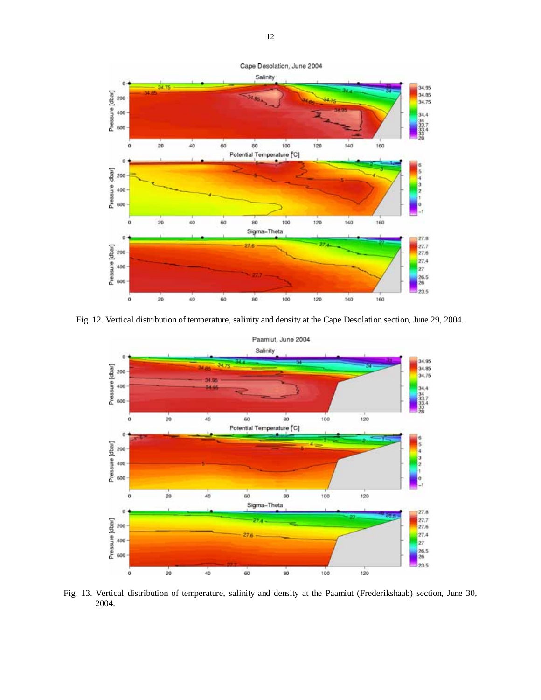

Fig. 12. Vertical distribution of temperature, salinity and density at the Cape Desolation section, June 29, 2004.



Fig. 13. Vertical distribution of temperature, salinity and density at the Paamiut (Frederikshaab) section, June 30, 2004.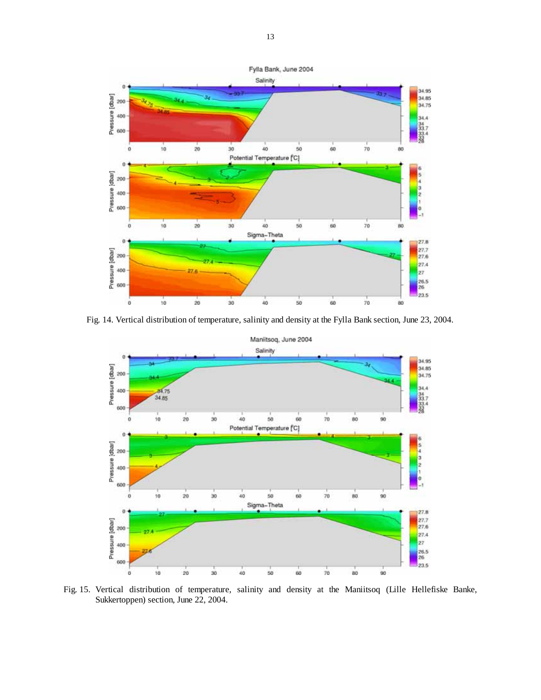

Fig. 14. Vertical distribution of temperature, salinity and density at the Fylla Bank section, June 23, 2004.



Fig. 15. Vertical distribution of temperature, salinity and density at the Maniitsoq (Lille Hellefiske Banke, Sukkertoppen) section, June 22, 2004.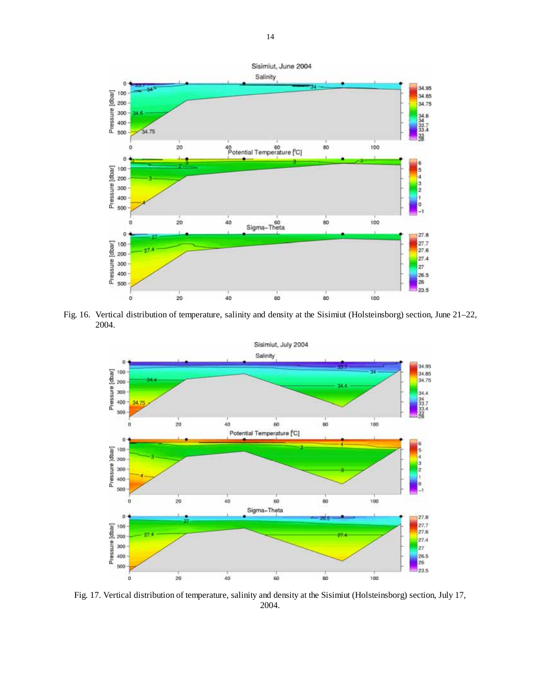

Fig. 16. Vertical distribution of temperature, salinity and density at the Sisimiut (Holsteinsborg) section, June 21–22, 2004.



Fig. 17. Vertical distribution of temperature, salinity and density at the Sisimiut (Holsteinsborg) section, July 17, 2004.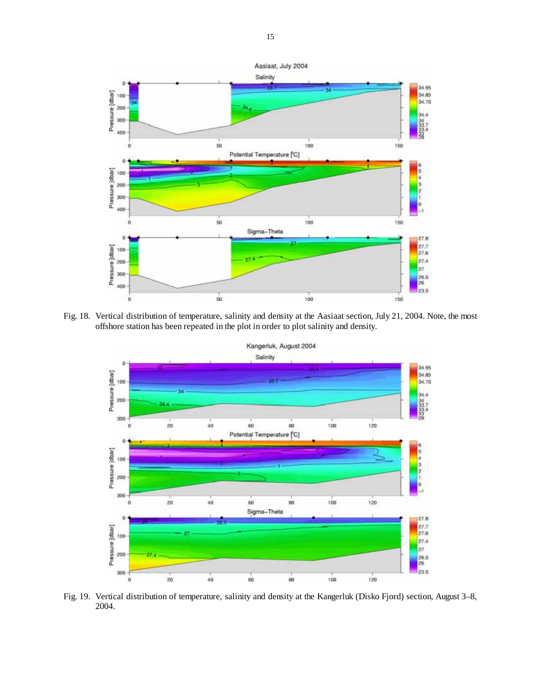

Fig. 18. Vertical distribution of temperature, salinity and density at the Aasiaat section, July 21, 2004. Note, the most offshore station has been repeated in the plot in order to plot salinity and density.



Fig. 19. Vertical distribution of temperature, salinity and density at the Kangerluk (Disko Fjord) section, August 3–8, 2004.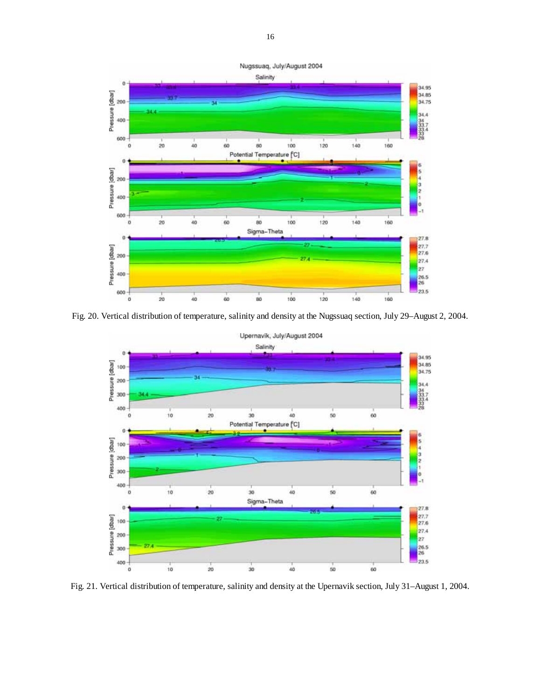

Fig. 20. Vertical distribution of temperature, salinity and density at the Nugssuaq section, July 29–August 2, 2004.



Fig. 21. Vertical distribution of temperature, salinity and density at the Upernavik section, July 31–August 1, 2004.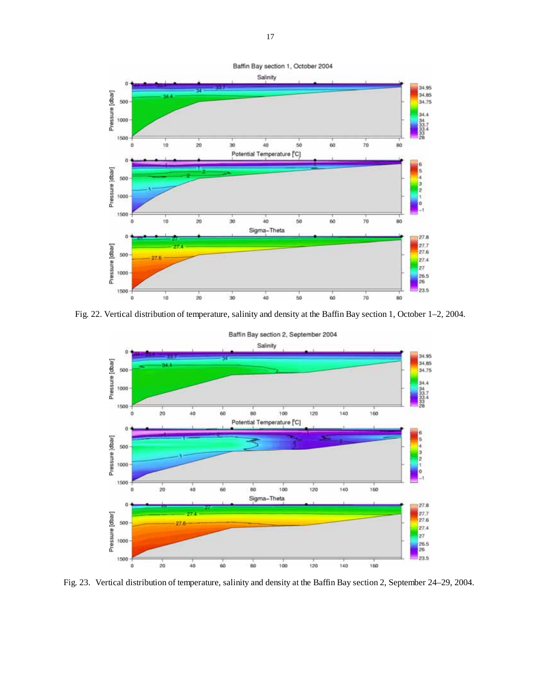

Fig. 22. Vertical distribution of temperature, salinity and density at the Baffin Bay section 1, October 1–2, 2004.



Fig. 23. Vertical distribution of temperature, salinity and density at the Baffin Bay section 2, September 24–29, 2004.

17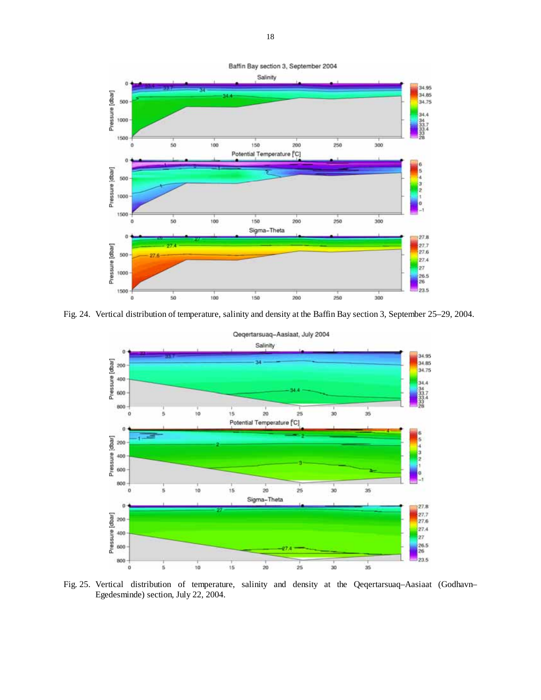

Fig. 24. Vertical distribution of temperature, salinity and density at the Baffin Bay section 3, September 25–29, 2004.



Fig. 25. Vertical distribution of temperature, salinity and density at the Qeqertarsuaq–Aasiaat (Godhavn– Egedesminde) section, July 22, 2004.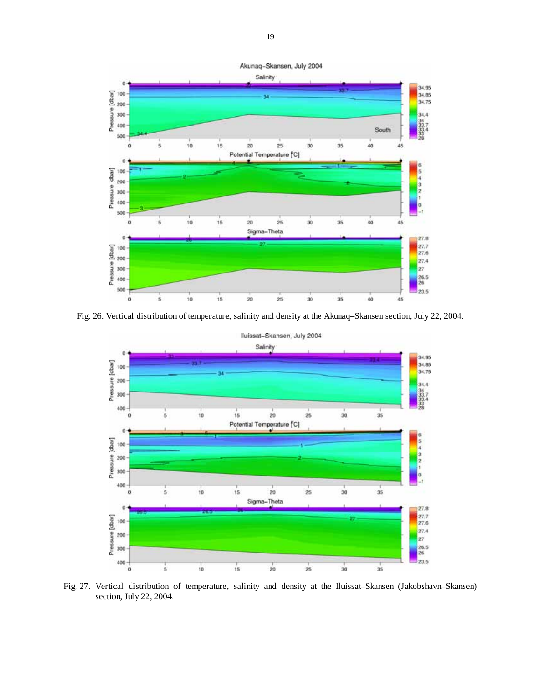

Fig. 26. Vertical distribution of temperature, salinity and density at the Akunaq–Skansen section, July 22, 2004.



Fig. 27. Vertical distribution of temperature, salinity and density at the Iluissat–Skansen (Jakobshavn–Skansen) section, July 22, 2004.